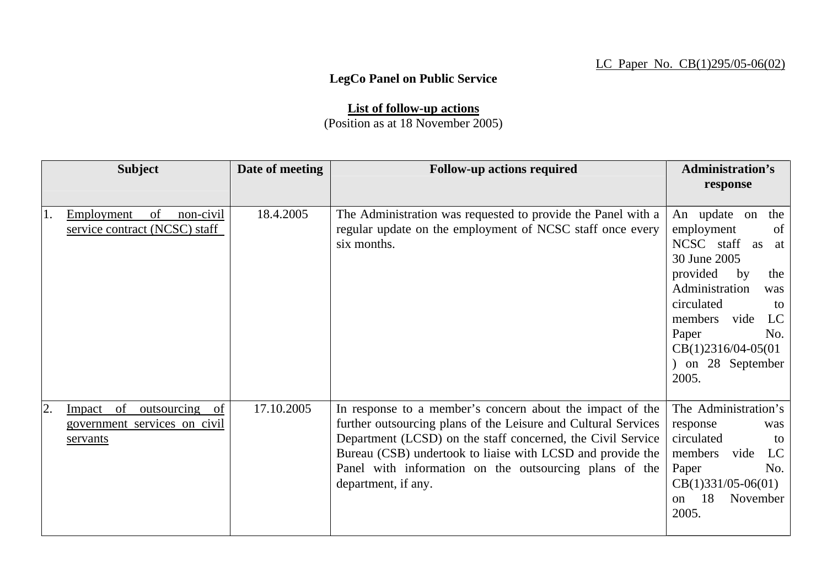## LC Paper No. CB(1)295/05-06(02)

## **LegCo Panel on Public Service**

**List of follow-up actions** (Position as at 18 November 2005)

| <b>Subject</b>                                                                          | Date of meeting | <b>Follow-up actions required</b>                                                                                                                                                                                                                                                                                                         | <b>Administration's</b>                                                                                                                                                                                                                            |
|-----------------------------------------------------------------------------------------|-----------------|-------------------------------------------------------------------------------------------------------------------------------------------------------------------------------------------------------------------------------------------------------------------------------------------------------------------------------------------|----------------------------------------------------------------------------------------------------------------------------------------------------------------------------------------------------------------------------------------------------|
|                                                                                         |                 |                                                                                                                                                                                                                                                                                                                                           | response                                                                                                                                                                                                                                           |
| of<br>Employment<br>non-civil<br>1.<br>service contract (NCSC) staff                    | 18.4.2005       | The Administration was requested to provide the Panel with a<br>regular update on the employment of NCSC staff once every<br>six months.                                                                                                                                                                                                  | An update on<br>the<br>employment<br>of<br>NCSC staff<br>as<br>at<br>30 June 2005<br>provided<br>by<br>the<br>Administration<br>was<br>circulated<br>to<br>LC<br>members vide<br>Paper<br>No.<br>$CB(1)2316/04-05(01)$<br>on 28 September<br>2005. |
| of<br>outsourcing of<br>2.<br><u>Impact</u><br>government services on civil<br>servants | 17.10.2005      | In response to a member's concern about the impact of the<br>further outsourcing plans of the Leisure and Cultural Services<br>Department (LCSD) on the staff concerned, the Civil Service<br>Bureau (CSB) undertook to liaise with LCSD and provide the<br>Panel with information on the outsourcing plans of the<br>department, if any. | The Administration's<br>response<br>was<br>circulated<br>to<br>LC<br>members<br>vide<br>Paper<br>No.<br>$CB(1)331/05-06(01)$<br>18<br>November<br>$\Omega$<br>2005.                                                                                |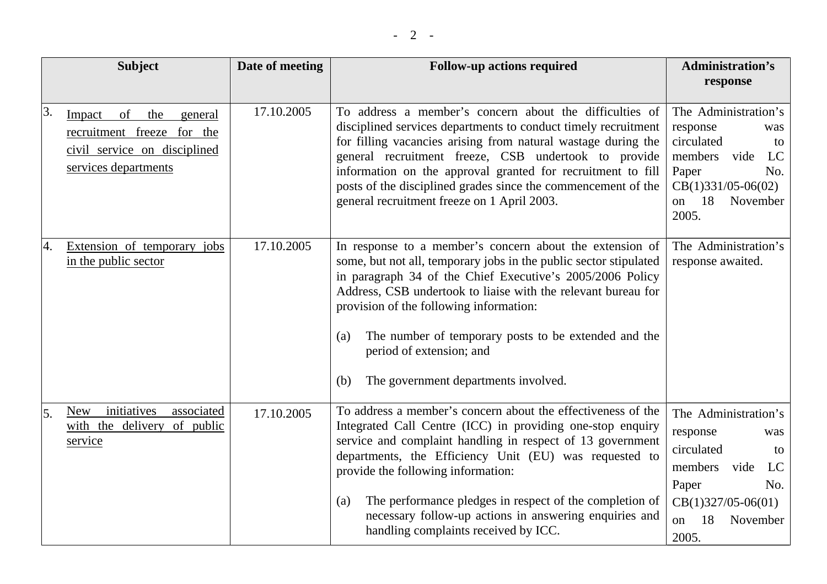|    | <b>Subject</b>                                                                                                       | Date of meeting | <b>Follow-up actions required</b>                                                                                                                                                                                                                                                                                                                                                                                                                            | <b>Administration's</b><br>response                                                                                                                           |
|----|----------------------------------------------------------------------------------------------------------------------|-----------------|--------------------------------------------------------------------------------------------------------------------------------------------------------------------------------------------------------------------------------------------------------------------------------------------------------------------------------------------------------------------------------------------------------------------------------------------------------------|---------------------------------------------------------------------------------------------------------------------------------------------------------------|
| 3. | of<br>the<br>Impact<br>general<br>recruitment freeze for the<br>civil service on disciplined<br>services departments | 17.10.2005      | To address a member's concern about the difficulties of<br>disciplined services departments to conduct timely recruitment<br>for filling vacancies arising from natural wastage during the<br>general recruitment freeze, CSB undertook to provide<br>information on the approval granted for recruitment to fill<br>posts of the disciplined grades since the commencement of the<br>general recruitment freeze on 1 April 2003.                            | The Administration's<br>response<br>was<br>circulated<br>to<br>members<br>vide<br>LC<br>Paper<br>No.<br>$CB(1)331/05-06(02)$<br>18<br>November<br>on<br>2005. |
| 4. | Extension of temporary<br>jobs<br>in the public sector                                                               | 17.10.2005      | In response to a member's concern about the extension of<br>some, but not all, temporary jobs in the public sector stipulated<br>in paragraph 34 of the Chief Executive's 2005/2006 Policy<br>Address, CSB undertook to liaise with the relevant bureau for<br>provision of the following information:<br>The number of temporary posts to be extended and the<br>(a)<br>period of extension; and<br>The government departments involved.<br>(b)             | The Administration's<br>response awaited.                                                                                                                     |
| 5. | initiatives<br>associated<br><b>New</b><br>with the delivery of public<br>service                                    | 17.10.2005      | To address a member's concern about the effectiveness of the<br>Integrated Call Centre (ICC) in providing one-stop enquiry<br>service and complaint handling in respect of 13 government<br>departments, the Efficiency Unit (EU) was requested to<br>provide the following information:<br>The performance pledges in respect of the completion of<br>(a)<br>necessary follow-up actions in answering enquiries and<br>handling complaints received by ICC. | The Administration's<br>response<br>was<br>circulated<br>to<br>members<br>LC<br>vide<br>Paper<br>No.<br>$CB(1)327/05-06(01)$<br>18<br>November<br>on<br>2005. |